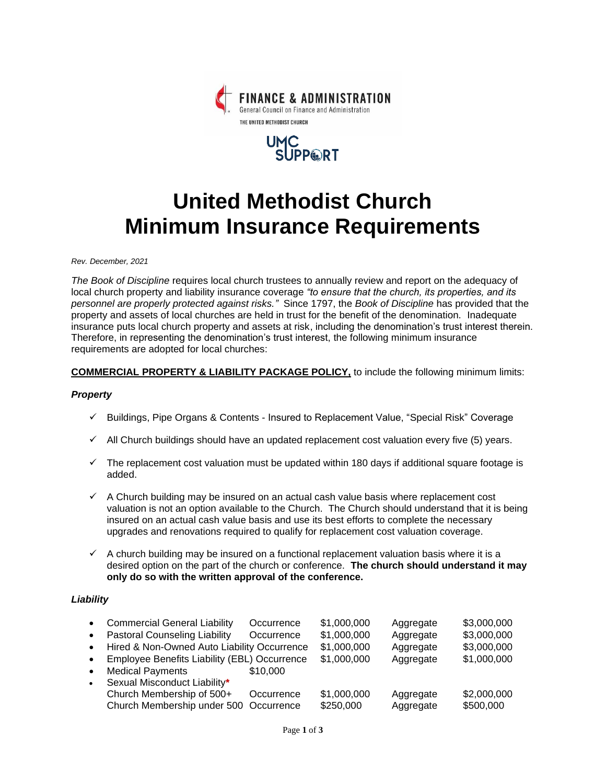



# **United Methodist Church Minimum Insurance Requirements**

*Rev. December, 2021*

*The Book of Discipline* requires local church trustees to annually review and report on the adequacy of local church property and liability insurance coverage *"to ensure that the church, its properties, and its personnel are properly protected against risks."* Since 1797, the *Book of Discipline* has provided that the property and assets of local churches are held in trust for the benefit of the denomination. Inadequate insurance puts local church property and assets at risk, including the denomination's trust interest therein. Therefore, in representing the denomination's trust interest, the following minimum insurance requirements are adopted for local churches:

## **COMMERCIAL PROPERTY & LIABILITY PACKAGE POLICY,** to include the following minimum limits:

#### *Property*

- ✓ Buildings, Pipe Organs & Contents Insured to Replacement Value, "Special Risk" Coverage
- $\checkmark$  All Church buildings should have an updated replacement cost valuation every five (5) years.
- $\checkmark$  The replacement cost valuation must be updated within 180 days if additional square footage is added.
- $\checkmark$  A Church building may be insured on an actual cash value basis where replacement cost valuation is not an option available to the Church. The Church should understand that it is being insured on an actual cash value basis and use its best efforts to complete the necessary upgrades and renovations required to qualify for replacement cost valuation coverage.
- $\checkmark$  A church building may be insured on a functional replacement valuation basis where it is a desired option on the part of the church or conference. **The church should understand it may only do so with the written approval of the conference.**

## *Liability*

| $\bullet$<br>$\bullet$<br>$\bullet$<br>$\bullet$ | <b>Commercial General Liability</b><br><b>Pastoral Counseling Liability</b><br>Hired & Non-Owned Auto Liability Occurrence<br>Employee Benefits Liability (EBL) Occurrence | Occurrence<br>Occurrence | \$1,000,000<br>\$1,000,000<br>\$1,000,000<br>\$1,000,000 | Aggregate<br>Aggregate<br>Aggregate<br>Aggregate | \$3,000,000<br>\$3,000,000<br>\$3,000,000<br>\$1,000,000 |
|--------------------------------------------------|----------------------------------------------------------------------------------------------------------------------------------------------------------------------------|--------------------------|----------------------------------------------------------|--------------------------------------------------|----------------------------------------------------------|
| $\bullet$                                        | <b>Medical Payments</b>                                                                                                                                                    | \$10,000                 |                                                          |                                                  |                                                          |
| $\bullet$                                        | Sexual Misconduct Liability*<br>Church Membership of 500+                                                                                                                  | Occurrence               | \$1,000,000                                              | Aggregate                                        | \$2,000,000                                              |
|                                                  | Church Membership under 500 Occurrence                                                                                                                                     |                          | \$250,000                                                | Aggregate                                        | \$500,000                                                |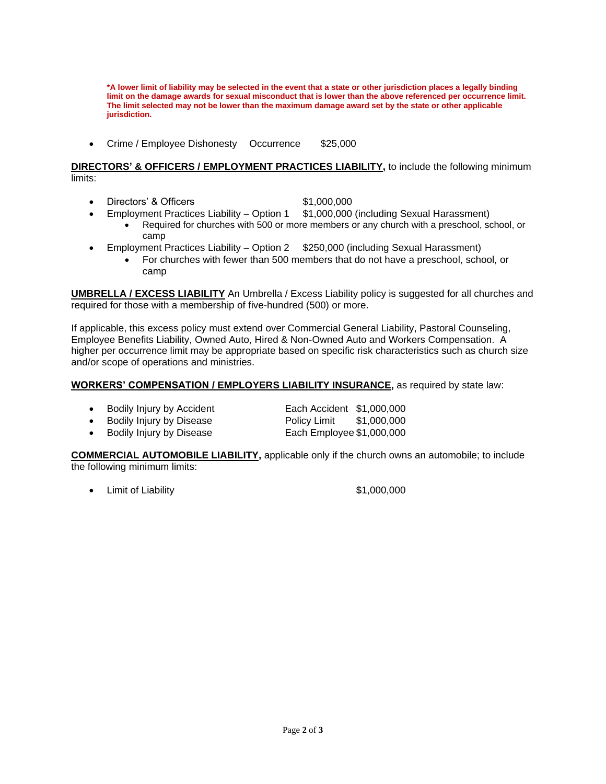**\*A lower limit of liability may be selected in the event that a state or other jurisdiction places a legally binding limit on the damage awards for sexual misconduct that is lower than the above referenced per occurrence limit. The limit selected may not be lower than the maximum damage award set by the state or other applicable jurisdiction.**

• Crime / Employee Dishonesty Occurrence \$25,000

#### **DIRECTORS' & OFFICERS / EMPLOYMENT PRACTICES LIABILITY,** to include the following minimum limits:

- Directors' & Officers \$1,000,000
- Employment Practices Liability Option 1 \$1,000,000 (including Sexual Harassment)
	- Required for churches with 500 or more members or any church with a preschool, school, or camp
- Employment Practices Liability Option 2 \$250,000 (including Sexual Harassment)
	- For churches with fewer than 500 members that do not have a preschool, school, or camp

**UMBRELLA / EXCESS LIABILITY** An Umbrella / Excess Liability policy is suggested for all churches and required for those with a membership of five-hundred (500) or more.

If applicable, this excess policy must extend over Commercial General Liability, Pastoral Counseling, Employee Benefits Liability, Owned Auto, Hired & Non-Owned Auto and Workers Compensation. A higher per occurrence limit may be appropriate based on specific risk characteristics such as church size and/or scope of operations and ministries.

## **WORKERS' COMPENSATION / EMPLOYERS LIABILITY INSURANCE,** as required by state law:

| Bodily Injury by Accident | Each Accident \$1,000,000 |  |
|---------------------------|---------------------------|--|
|                           |                           |  |

**Bodily Injury by Disease Policy Limit \$1,000,000** 

• Bodily Injury by Disease Each Employee \$1,000,000

**COMMERCIAL AUTOMOBILE LIABILITY,** applicable only if the church owns an automobile; to include the following minimum limits:

• Limit of Liability **\$1,000,000**